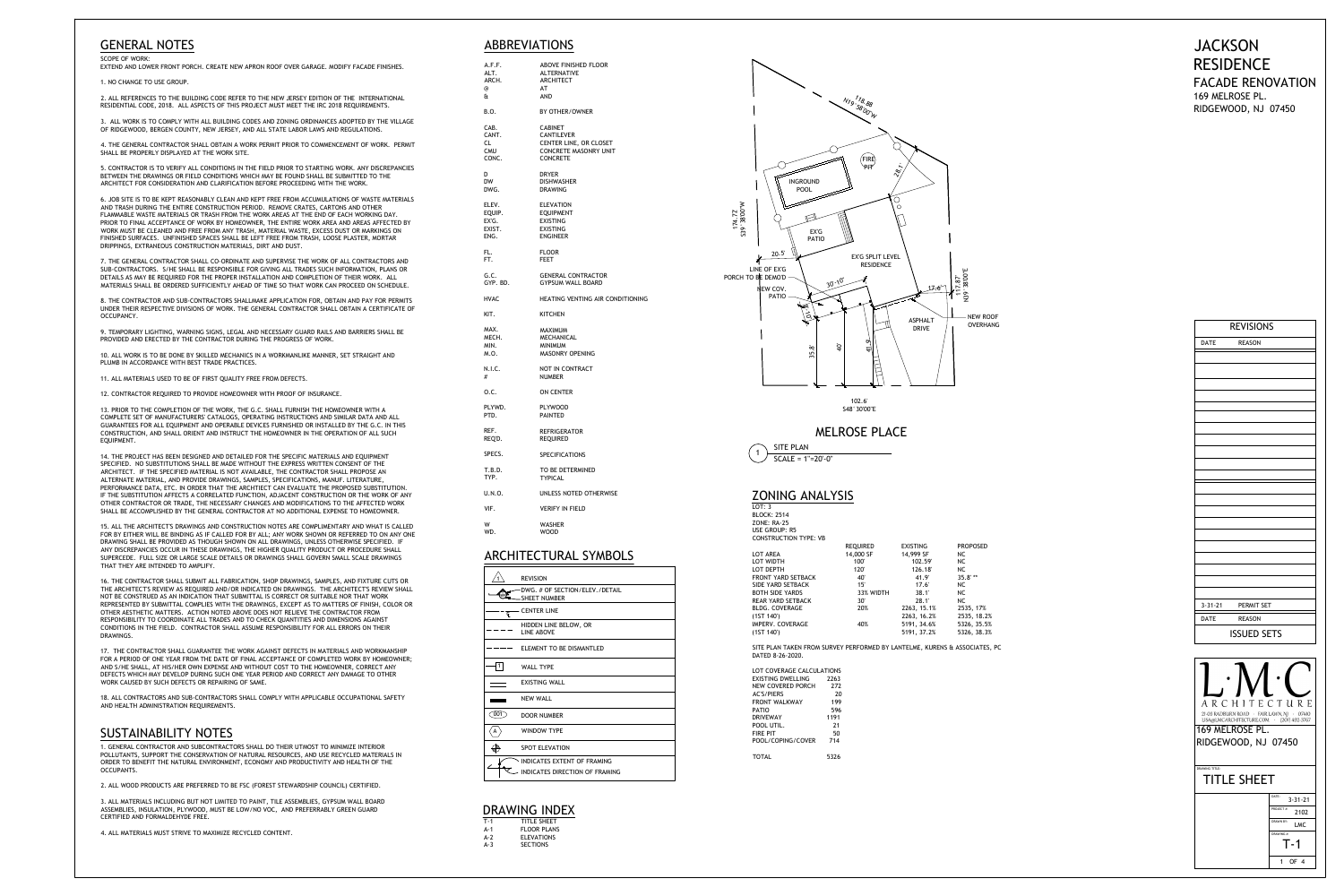## ZONING ANALYSIS

LOT: 3 BLOCK: 2514 ZONE: RA-25 USE GROUP: R5 CONSTRUCTION TYPE: VB

|                           | <b>REQUIRED</b> | <b>EXISTING</b> | <b>PROPOSED</b> |
|---------------------------|-----------------|-----------------|-----------------|
| LOT AREA                  | 14,000 SF       | 14,999 SF       | <b>NC</b>       |
| LOT WIDTH                 | 100'            | 102.59          | NC              |
| LOT DEPTH                 | 120'            | 126.18          | NC              |
| <b>FRONT YARD SETBACK</b> | 40'             | 41.9            | $35.8'$ **      |
| SIDE YARD SETBACK         | 15'             | 17.6'           | NC              |
| <b>BOTH SIDE YARDS</b>    | 33% WIDTH       | 38.1'           | <b>NC</b>       |
| <b>REAR YARD SETBACK</b>  | 30'             | 28.1'           | <b>NC</b>       |
| <b>BLDG. COVERAGE</b>     | 20%             | 2263, 15.1%     | 2535, 17%       |
| (1ST 140')                |                 | 2263, 16.2%     | 2535, 18.2%     |
| IMPERV. COVERAGE          | 40%             | 5191, 34.6%     | 5326, 35.5%     |
| (1ST 140')                |                 | 5191, 37.2%     | 5326, 38.3%     |

SITE PLAN TAKEN FROM SURVEY PERFORMED BY LANTELME, KURENS & ASSOCIATES, PC DATED 8-26-2020.

| <b>LOT COVERAGE CALCULATIONS</b> |      |
|----------------------------------|------|
| <b>EXISTING DWELLING</b>         | 2263 |
| NEW COVERED PORCH                | 272  |
| <b>AC'S/PIERS</b>                | 20   |
| <b>FRONT WALKWAY</b>             | 199  |
| <b>PATIO</b>                     | 596  |
| <b>DRIVEWAY</b>                  | 1191 |
| POOL UTIL.                       | 21   |
| <b>FIRE PIT</b>                  | 50   |
| POOL/COPING/COVER                | 714  |
|                                  |      |
|                                  | 5326 |

#### MELROSE PLACE

 $SCALE = 1" = 20' - 0"$ SITE PLAN



# DRAWING INDEX

T-1 TITLE SHEET A-1 FLOOR PLANS A-2 ELEVATIONS

A-3 SECTIONS

## GENERAL NOTES

SCOPE OF WORK:

EXTEND AND LOWER FRONT PORCH. CREATE NEW APRON ROOF OVER GARAGE. MODIFY FACADE FINISHES.

1. NO CHANGE TO USE GROUP.

2. ALL REFERENCES TO THE BUILDING CODE REFER TO THE NEW JERSEY EDITION OF THE INTERNATIONAL RESIDENTIAL CODE, 2018. ALL ASPECTS OF THIS PROJECT MUST MEET THE IRC 2018 REQUIREMENTS.

3. ALL WORK IS TO COMPLY WITH ALL BUILDING CODES AND ZONING ORDINANCES ADOPTED BY THE VILLAGE OF RIDGEWOOD, BERGEN COUNTY, NEW JERSEY, AND ALL STATE LABOR LAWS AND REGULATIONS.

4. THE GENERAL CONTRACTOR SHALL OBTAIN A WORK PERMIT PRIOR TO COMMENCEMENT OF WORK. PERMIT SHALL BE PROPERLY DISPLAYED AT THE WORK SITE.

5. CONTRACTOR IS TO VERIFY ALL CONDITIONS IN THE FIELD PRIOR TO STARTING WORK. ANY DISCREPANCIES BETWEEN THE DRAWINGS OR FIELD CONDITIONS WHICH MAY BE FOUND SHALL BE SUBMITTED TO THE ARCHITECT FOR CONSIDERATION AND CLARIFICATION BEFORE PROCEEDING WITH THE WORK.

6. JOB SITE IS TO BE KEPT REASONABLY CLEAN AND KEPT FREE FROM ACCUMULATIONS OF WASTE MATERIALS AND TRASH DURING THE ENTIRE CONSTRUCTION PERIOD. REMOVE CRATES, CARTONS AND OTHER FLAMMABLE WASTE MATERIALS OR TRASH FROM THE WORK AREAS AT THE END OF EACH WORKING DAY. PRIOR TO FINAL ACCEPTANCE OF WORK BY HOMEOWNER, THE ENTIRE WORK AREA AND AREAS AFFECTED BY WORK MUST BE CLEANED AND FREE FROM ANY TRASH, MATERIAL WASTE, EXCESS DUST OR MARKINGS ON FINISHED SURFACES. UNFINISHED SPACES SHALL BE LEFT FREE FROM TRASH, LOOSE PLASTER, MORTAR DRIPPINGS, EXTRANEOUS CONSTRUCTION MATERIALS, DIRT AND DUST.

7. THE GENERAL CONTRACTOR SHALL CO-ORDINATE AND SUPERVISE THE WORK OF ALL CONTRACTORS AND SUB-CONTRACTORS. S/HE SHALL BE RESPONSIBLE FOR GIVING ALL TRADES SUCH INFORMATION, PLANS OR DETAILS AS MAY BE REQUIRED FOR THE PROPER INSTALLATION AND COMPLETION OF THEIR WORK. ALL MATERIALS SHALL BE ORDERED SUFFICIENTLY AHEAD OF TIME SO THAT WORK CAN PROCEED ON SCHEDULE.

8. THE CONTRACTOR AND SUB-CONTRACTORS SHALLMAKE APPLICATION FOR, OBTAIN AND PAY FOR PERMITS UNDER THEIR RESPECTIVE DIVISIONS OF WORK. THE GENERAL CONTRACTOR SHALL OBTAIN A CERTIFICATE OF OCCUPANCY.

9. TEMPORARY LIGHTING, WARNING SIGNS, LEGAL AND NECESSARY GUARD RAILS AND BARRIERS SHALL BE PROVIDED AND ERECTED BY THE CONTRACTOR DURING THE PROGRESS OF WORK.

10. ALL WORK IS TO BE DONE BY SKILLED MECHANICS IN A WORKMANLIKE MANNER, SET STRAIGHT AND PLUMB IN ACCORDANCE WITH BEST TRADE PRACTICES.

11. ALL MATERIALS USED TO BE OF FIRST QUALITY FREE FROM DEFECTS.

12. CONTRACTOR REQUIRED TO PROVIDE HOMEOWNER WITH PROOF OF INSURANCE.

13. PRIOR TO THE COMPLETION OF THE WORK, THE G.C. SHALL FURNISH THE HOMEOWNER WITH A COMPLETE SET OF MANUFACTURERS' CATALOGS, OPERATING INSTRUCTIONS AND SIMILAR DATA AND ALL GUARANTEES FOR ALL EQUIPMENT AND OPERABLE DEVICES FURNISHED OR INSTALLED BY THE G.C. IN THIS CONSTRUCTION, AND SHALL ORIENT AND INSTRUCT THE HOMEOWNER IN THE OPERATION OF ALL SUCH EQUIPMENT.

# **JACKSON** RESIDENCE FACADE RENOVATION 169 MELROSE PL. RIDGEWOOD, NJ 07450

14. THE PROJECT HAS BEEN DESIGNED AND DETAILED FOR THE SPECIFIC MATERIALS AND EQUIPMENT SPECIFIED. NO SUBSTITUTIONS SHALL BE MADE WITHOUT THE EXPRESS WRITTEN CONSENT OF THE ARCHITECT. IF THE SPECIFIED MATERIAL IS NOT AVAILABLE, THE CONTRACTOR SHALL PROPOSE AN ALTERNATE MATERIAL, AND PROVIDE DRAWINGS, SAMPLES, SPECIFICATIONS, MANUF. LITERATURE, PERFORMANCE DATA, ETC. IN ORDER THAT THE ARCHTIECT CAN EVALUATE THE PROPOSED SUBSTITUTION. IF THE SUBSTITUTION AFFECTS A CORRELATED FUNCTION, ADJACENT CONSTRUCTION OR THE WORK OF ANY OTHER CONTRACTOR OR TRADE, THE NECESSARY CHANGES AND MODIFICATIONS TO THE AFFECTED WORK SHALL BE ACCOMPLISHED BY THE GENERAL CONTRACTOR AT NO ADDITIONAL EXPENSE TO HOMEOWNER.

15. ALL THE ARCHITECT'S DRAWINGS AND CONSTRUCTION NOTES ARE COMPLIMENTARY AND WHAT IS CALLED FOR BY EITHER WILL BE BINDING AS IF CALLED FOR BY ALL; ANY WORK SHOWN OR REFERRED TO ON ANY ONE DRAWING SHALL BE PROVIDED AS THOUGH SHOWN ON ALL DRAWINGS, UNLESS OTHERWISE SPECIFIED. IF ANY DISCREPANCIES OCCUR IN THESE DRAWINGS, THE HIGHER QUALITY PRODUCT OR PROCEDURE SHALL SUPERCEDE. FULL SIZE OR LARGE SCALE DETAILS OR DRAWINGS SHALL GOVERN SMALL SCALE DRAWINGS THAT THEY ARE INTENDED TO AMPLIFY.

16. THE CONTRACTOR SHALL SUBMIT ALL FABRICATION, SHOP DRAWINGS, SAMPLES, AND FIXTURE CUTS OR THE ARCHITECT'S REVIEW AS REQUIRED AND/OR INDICATED ON DRAWINGS. THE ARCHITECT'S REVIEW SHALL NOT BE CONSTRUED AS AN INDICATION THAT SUBMITTAL IS CORRECT OR SUITABLE NOR THAT WORK REPRESENTED BY SUBMITTAL COMPLIES WITH THE DRAWINGS, EXCEPT AS TO MATTERS OF FINISH, COLOR OR OTHER AESTHETIC MATTERS. ACTION NOTED ABOVE DOES NOT RELIEVE THE CONTRACTOR FROM RESPONSIBILITY TO COORDINATE ALL TRADES AND TO CHECK QUANTITIES AND DIMENSIONS AGAINST CONDITIONS IN THE FIELD. CONTRACTOR SHALL ASSUME RESPONSIBILITY FOR ALL ERRORS ON THEIR DRAWINGS.

17. THE CONTRACTOR SHALL GUARANTEE THE WORK AGAINST DEFECTS IN MATERIALS AND WORKMANSHIP FOR A PERIOD OF ONE YEAR FROM THE DATE OF FINAL ACCEPTANCE OF COMPLETED WORK BY HOMEOWNER; AND S/HE SHALL, AT HIS/HER OWN EXPENSE AND WITHOUT COST TO THE HOMEOWNER, CORRECT ANY DEFECTS WHICH MAY DEVELOP DURING SUCH ONE YEAR PERIOD AND CORRECT ANY DAMAGE TO OTHER WORK CAUSED BY SUCH DEFECTS OR REPAIRING OF SAME.

18. ALL CONTRACTORS AND SUB-CONTRACTORS SHALL COMPLY WITH APPLICABLE OCCUPATIONAL SAFETY AND HEALTH ADMINISTRATION REQUIREMENTS.

### SUSTAINABILITY NOTES

1. GENERAL CONTRACTOR AND SUBCONTRACTORS SHALL DO THEIR UTMOST TO MINIMIZE INTERIOR POLLUTANTS, SUPPORT THE CONSERVATION OF NATURAL RESOURCES, AND USE RECYCLED MATERIALS IN ORDER TO BENEFIT THE NATURAL ENVIRONMENT, ECONOMY AND PRODUCTIVITY AND HEALTH OF THE OCCUPANTS.

2. ALL WOOD PRODUCTS ARE PREFERRED TO BE FSC (FOREST STEWARDSHIP COUNCIL) CERTIFIED.

3. ALL MATERIALS INCLUDING BUT NOT LIMITED TO PAINT, TILE ASSEMBLIES, GYPSUM WALL BOARD ASSEMBLIES, INSULATION, PLYWOOD, MUST BE LOW/NO VOC, AND PREFERRABLY GREEN GUARD CERTIFIED AND FORMALDEHYDE FREE.

4. ALL MATERIALS MUST STRIVE TO MAXIMIZE RECYCLED CONTENT.

| A.F.F.      | <b>ABOVE FINISHED FLOOR</b>             |
|-------------|-----------------------------------------|
| ALT.        | <b>ALTERNATIVE</b>                      |
| ARCH.       | <b>ARCHITECT</b>                        |
| @           | AT                                      |
| £           | <b>AND</b>                              |
| <b>B.O.</b> | BY OTHER/OWNER                          |
| CAB.        | <b>CABINET</b>                          |
| CANT.       | <b>CANTILEVER</b>                       |
| <b>CL</b>   | CENTER LINE, OR CLOSET                  |
| <b>CMU</b>  | <b>CONCRETE MASONRY UNIT</b>            |
| CONC.       | <b>CONCRETE</b>                         |
| D           | <b>DRYER</b>                            |
| <b>DW</b>   | <b>DISHWASHER</b>                       |
| DWG.        | <b>DRAWING</b>                          |
| ELEV.       | <b>ELEVATION</b>                        |
| EQUIP.      | <b>EQUIPMENT</b>                        |
| EX'G.       | <b>EXISTING</b>                         |
| EXIST.      | <b>EXISTING</b>                         |
| ENG.        | <b>ENGINEER</b>                         |
| FL.         | <b>FLOOR</b>                            |
| FT.         | <b>FEET</b>                             |
| G.C.        | <b>GENERAL CONTRACTOR</b>               |
| GYP. BD.    | <b>GYPSUM WALL BOARD</b>                |
| <b>HVAC</b> | <b>HEATING VENTING AIR CONDITIONING</b> |
| KIT.        | <b>KITCHEN</b>                          |
| MAX.        | <b>MAXIMUM</b>                          |
| MECH.       | <b>MECHANICAL</b>                       |
| MIN.        | <b>MINIMUM</b>                          |
| M.O.        | MASONRY OPENING                         |
| N.I.C.      | NOT IN CONTRACT                         |
| #           | <b>NUMBER</b>                           |
| O.C.        | <b>ON CENTER</b>                        |
| PLYWD.      | <b>PLYWOOD</b>                          |
| PTD.        | <b>PAINTED</b>                          |
| REF.        | <b>REFRIGERATOR</b>                     |
| REQ'D.      | <b>REQUIRED</b>                         |
| SPECS.      | <b>SPECIFICATIONS</b>                   |
| T.B.D.      | TO BE DETERMINED                        |
| TYP.        | <b>TYPICAL</b>                          |
| U.N.O.      | UNLESS NOTED OTHERWISE                  |
| VIF.        | <b>VERIFY IN FIELD</b>                  |
| W           | WASHER                                  |
| WD.         | <b>WOOD</b>                             |

# ARCHITECTURAL SYMBOLS

|                    | <b>REVISION</b>                                                      |
|--------------------|----------------------------------------------------------------------|
|                    | DWG. # OF SECTION/ELEV./DETAIL<br><b>SHEET NUMBER</b>                |
| ᠌ᠮ                 | <b>CENTER LINE</b>                                                   |
|                    | HIDDEN LINE BELOW, OR<br><b>LINE ABOVE</b>                           |
|                    | ELEMENT TO BE DISMANTLED                                             |
| $\mathbf{1}$       | <b>WALL TYPE</b>                                                     |
|                    | <b>EXISTING WALL</b>                                                 |
|                    | <b>NEW WALL</b>                                                      |
| $\left(001\right)$ | <b>DOOR NUMBER</b>                                                   |
| A                  | <b>WINDOW TYPE</b>                                                   |
|                    | <b>SPOT ELEVATION</b>                                                |
|                    | <b>INDICATES EXTENT OF FRAMING</b><br>INDICATES DIRECTION OF FRAMING |

# ABBREVIATIONS



|               | <b>REVISIONS</b>   |  |
|---------------|--------------------|--|
| <b>DATE</b>   | <b>REASON</b>      |  |
|               |                    |  |
|               |                    |  |
|               |                    |  |
|               |                    |  |
|               |                    |  |
|               |                    |  |
|               |                    |  |
|               |                    |  |
|               |                    |  |
|               |                    |  |
|               |                    |  |
|               |                    |  |
|               |                    |  |
|               |                    |  |
|               |                    |  |
|               |                    |  |
|               |                    |  |
|               |                    |  |
|               |                    |  |
| $3 - 31 - 21$ | PERMIT SET         |  |
| <b>DATE</b>   | <b>REASON</b>      |  |
|               | <b>ISSUED SETS</b> |  |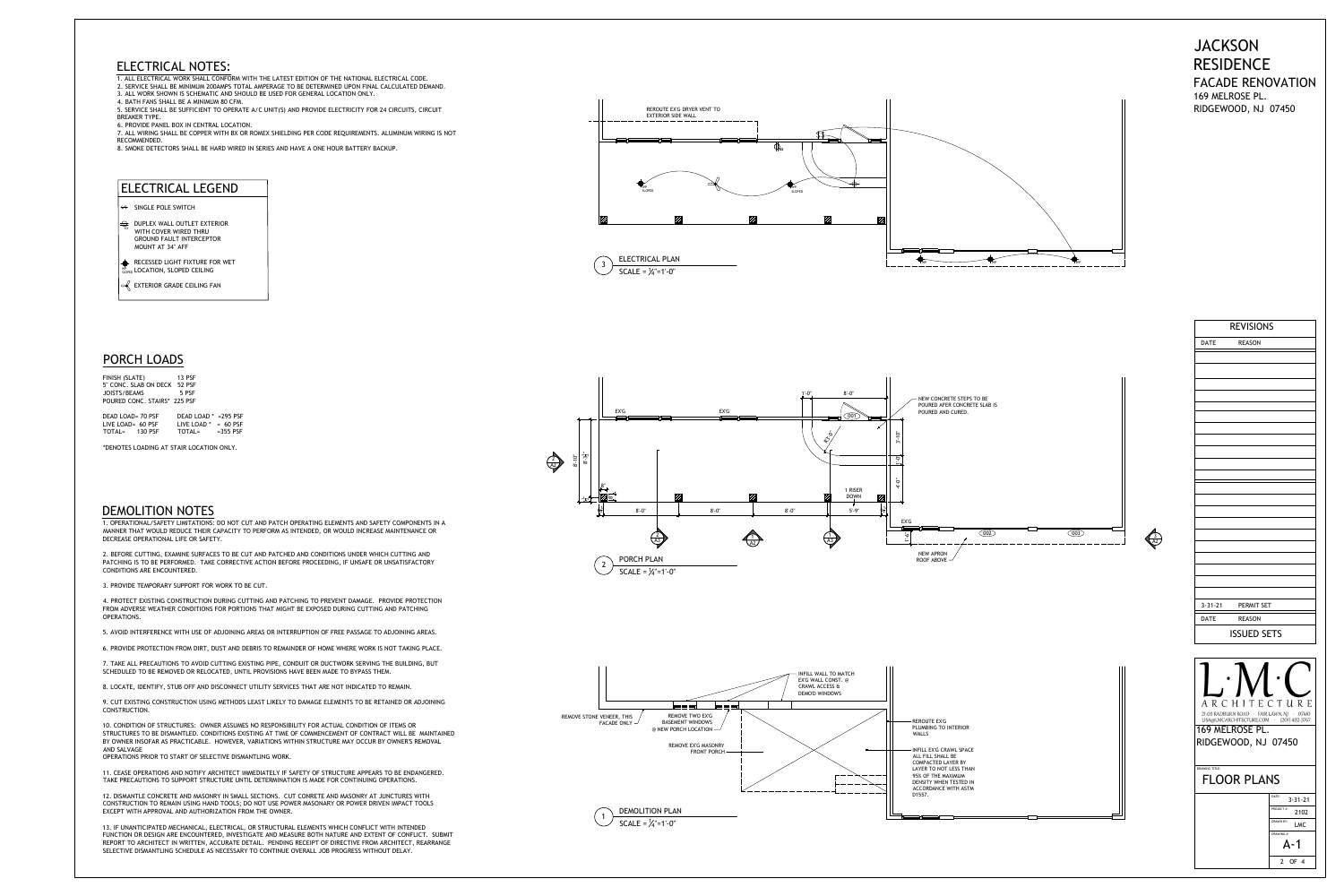### DEMOLITION NOTES

1. OPERATIONAL/SAFETY LIMITATIONS: DO NOT CUT AND PATCH OPERATING ELEMENTS AND SAFETY COMPONENTS IN A MANNER THAT WOULD REDUCE THEIR CAPACITY TO PERFORM AS INTENDED, OR WOULD INCREASE MAINTENANCE OR DECREASE OPERATIONAL LIFE OR SAFETY.

2. BEFORE CUTTING, EXAMINE SURFACES TO BE CUT AND PATCHED AND CONDITIONS UNDER WHICH CUTTING AND PATCHING IS TO BE PERFORMED. TAKE CORRECTIVE ACTION BEFORE PROCEEDING, IF UNSAFE OR UNSATISFACTORY CONDITIONS ARE ENCOUNTERED.

3. PROVIDE TEMPORARY SUPPORT FOR WORK TO BE CUT.

4. PROTECT EXISTING CONSTRUCTION DURING CUTTING AND PATCHING TO PREVENT DAMAGE. PROVIDE PROTECTION FROM ADVERSE WEATHER CONDITIONS FOR PORTIONS THAT MIGHT BE EXPOSED DURING CUTTING AND PATCHING OPERATIONS.

5. AVOID INTERFERENCE WITH USE OF ADJOINING AREAS OR INTERRUPTION OF FREE PASSAGE TO ADJOINING AREAS.

6. PROVIDE PROTECTION FROM DIRT, DUST AND DEBRIS TO REMAINDER OF HOME WHERE WORK IS NOT TAKING PLACE.

7. TAKE ALL PRECAUTIONS TO AVOID CUTTING EXISTING PIPE, CONDUIT OR DUCTWORK SERVING THE BUILDING, BUT SCHEDULED TO BE REMOVED OR RELOCATED, UNTIL PROVISIONS HAVE BEEN MADE TO BYPASS THEM.



FINISH (SLATE) 13 PSF 5" CONC. SLAB ON DECK 52 PSF JOISTS/BEAMS 5 PSF POURED CONC. STAIRS\* 225 PSF

DEAD LOAD= 70 PSF DEAD LOAD \* = 295 PSF LIVE LOAD=  $60$  PSF LIVE LOAD  $* = 60$  PSF TOTAL= 130 PSF TOTAL= =355 PSF

8. LOCATE, IDENTIFY, STUB OFF AND DISCONNECT UTILITY SERVICES THAT ARE NOT INDICATED TO REMAIN.

9. CUT EXISTING CONSTRUCTION USING METHODS LEAST LIKELY TO DAMAGE ELEMENTS TO BE RETAINED OR ADJOINING CONSTRUCTION.



10. CONDITION OF STRUCTURES: OWNER ASSUMES NO RESPONSIBILITY FOR ACTUAL CONDITION OF ITEMS OR STRUCTURES TO BE DISMANTLED. CONDITIONS EXISTING AT TIME OF COMMENCEMENT OF CONTRACT WILL BE MAINTAINED BY OWNER INSOFAR AS PRACTICABLE. HOWEVER, VARIATIONS WITHIN STRUCTURE MAY OCCUR BY OWNER'S REMOVAL AND SALVAGE



OPERATIONS PRIOR TO START OF SELECTIVE DISMANTLING WORK.

11. CEASE OPERATIONS AND NOTIFY ARCHITECT IMMEDIATELY IF SAFETY OF STRUCTURE APPEARS TO BE ENDANGERED. TAKE PRECAUTIONS TO SUPPORT STRUCTURE UNTIL DETERMINATION IS MADE FOR CONTINUING OPERATIONS.

12. DISMANTLE CONCRETE AND MASONRY IN SMALL SECTIONS. CUT CONRETE AND MASONRY AT JUNCTURES WITH CONSTRUCTION TO REMAIN USING HAND TOOLS; DO NOT USE POWER MASONARY OR POWER DRIVEN IMPACT TOOLS EXCEPT WITH APPROVAL AND AUTHORIZATION FROM THE OWNER.

13. IF UNANTICIPATED MECHANICAL, ELECTRICAL, OR STRUCTURAL ELEMENTS WHICH CONFLICT WITH INTENDED FUNCTION OR DESIGN ARE ENCOUNTERED, INVESTIGATE AND MEASURE BOTH NATURE AND EXTENT OF CONFLICT. SUBMIT REPORT TO ARCHITECT IN WRITTEN, ACCURATE DETAIL. PENDING RECEIPT OF DIRECTIVE FROM ARCHITECT, REARRANGE SELECTIVE DISMANTLING SCHEDULE AS NECESSARY TO CONTINUE OVERALL JOB PROGRESS WITHOUT DELAY.





|               | <b>REVISIONS</b>   |  |
|---------------|--------------------|--|
| <b>DATE</b>   | <b>REASON</b>      |  |
|               |                    |  |
|               |                    |  |
|               |                    |  |
|               |                    |  |
|               |                    |  |
|               |                    |  |
|               |                    |  |
|               |                    |  |
|               |                    |  |
|               |                    |  |
|               |                    |  |
|               |                    |  |
|               |                    |  |
|               |                    |  |
|               |                    |  |
|               |                    |  |
|               |                    |  |
|               |                    |  |
| $3 - 31 - 21$ | PERMIT SET         |  |
| <b>DATE</b>   | <b>REASON</b>      |  |
|               | <b>ISSUED SETS</b> |  |
|               |                    |  |

#### PORCH LOADS

\*DENOTES LOADING AT STAIR LOCATION ONLY.

#### ELECTRICAL LEGEND

 $\leftrightarrow$  SINGLE POLE SWITCH

- $E^{\text{x}}$  WITH COVER WIRED THRU  $\begin{bmatrix} \end{bmatrix}$  $\ominus$  DUPLEX WALL OUTLET EXTERIOR GROUND FAULT INTERCEPTOR MOUNT AT 34" AFF
- **RECESSED LIGHT FIXTURE FOR WET**

 $\in$  EXTERIOR GRADE CEILING FAN

#### ELECTRICAL NOTES:

- 1. ALL ELECTRICAL WORK SHALL CONFORM WITH THE LATEST EDITION OF THE NATIONAL ELECTRICAL CODE.
- 2. SERVICE SHALL BE MINIMUM 200AMPS TOTAL AMPERAGE TO BE DETERMINED UPON FINAL CALCULATED DEMAND. 3. ALL WORK SHOWN IS SCHEMATIC AND SHOULD BE USED FOR GENERAL LOCATION ONLY.
- 4. BATH FANS SHALL BE A MINIMUM 80 CFM.
- 5. SERVICE SHALL BE SUFFICIENT TO OPERATE A/C UNIT(S) AND PROVIDE ELECTRICITY FOR 24 CIRCUITS, CIRCUIT BREAKER TYPE.
- 6. PROVIDE PANEL BOX IN CENTRAL LOCATION.

7. ALL WIRING SHALL BE COPPER WITH BX OR ROMEX SHIELDING PER CODE REQUIREMENTS. ALUMINUM WIRING IS NOT RECOMMENDED.

8. SMOKE DETECTORS SHALL BE HARD WIRED IN SERIES AND HAVE A ONE HOUR BATTERY BACKUP.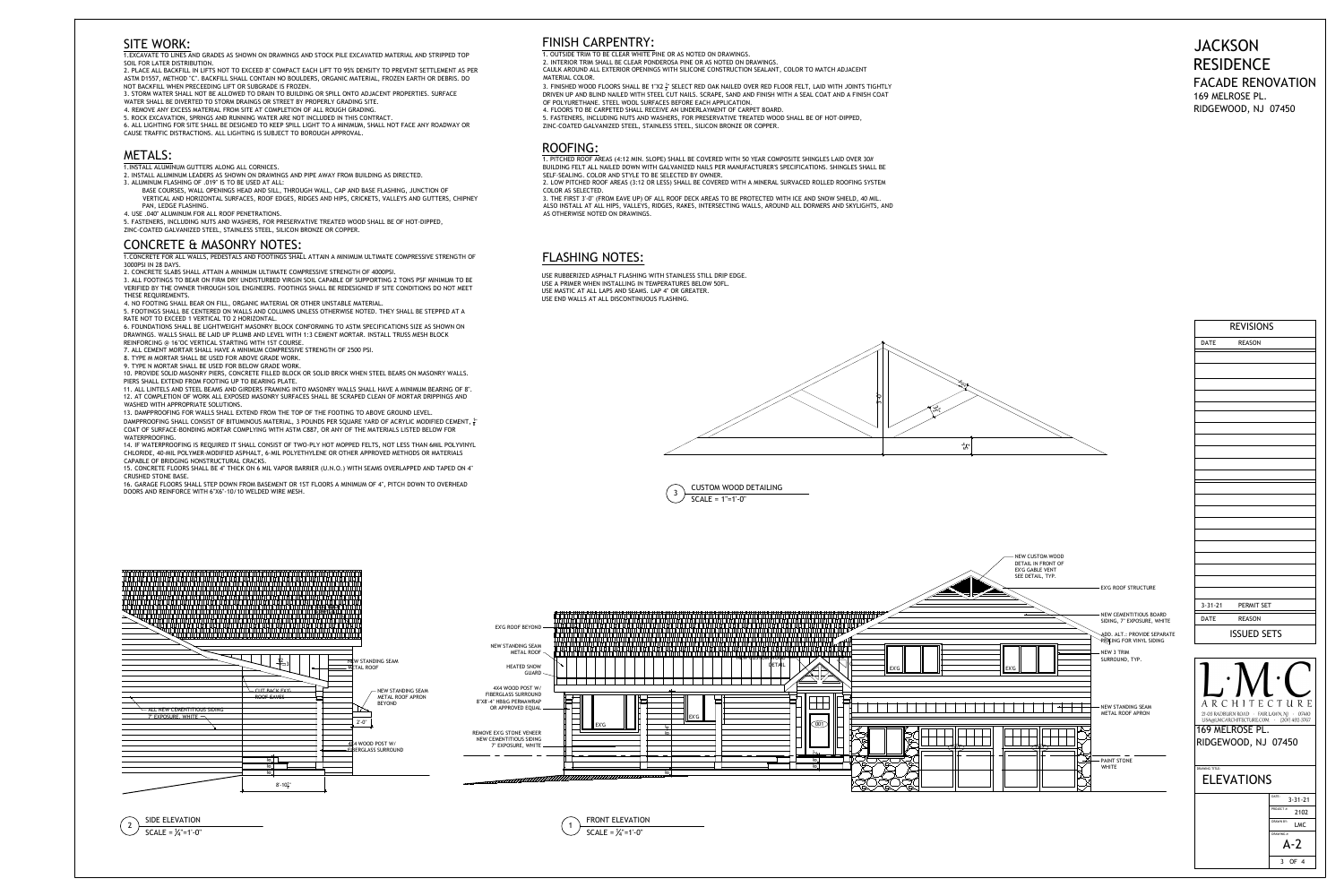# **JACKSON** RESIDENCE FACADE RENOVATION 169 MELROSE PL. RIDGEWOOD, NJ 07450



 $SCALE = \frac{1}{4}$ "=1'-0" SIDE ELEVATION

## FLASHING NOTES:

USE RUBBERIZED ASPHALT FLASHING WITH STAINLESS STILL DRIP EDGE. USE A PRIMER WHEN INSTALLING IN TEMPERATURES BELOW 50FL. USE MASTIC AT ALL LAPS AND SEAMS. LAP 4" OR GREATER. USE END WALLS AT ALL DISCONTINUOUS FLASHING.





REVISIONS

3 OF 4 | |

#### ROOFING:

1. PITCHED ROOF AREAS (4:12 MIN. SLOPE) SHALL BE COVERED WITH 50 YEAR COMPOSITE SHINGLES LAID OVER 30# BUILDING FELT ALL NAILED DOWN WITH GALVANIZED NAILS PER MANUFACTURER'S SPECIFICATIONS. SHINGLES SHALL BE SELF-SEALING. COLOR AND STYLE TO BE SELECTED BY OWNER. 2. LOW PITCHED ROOF AREAS (3:12 OR LESS) SHALL BE COVERED WITH A MINERAL SURVACED ROLLED ROOFING SYSTEM

COLOR AS SELECTED. 3. THE FIRST 3'-0" (FROM EAVE UP) OF ALL ROOF DECK AREAS TO BE PROTECTED WITH ICE AND SNOW SHIELD, 40 MIL. ALSO INSTALL AT ALL HIPS, VALLEYS, RIDGES, RAKES, INTERSECTING WALLS, AROUND ALL DORMERS AND SKYLIGHTS, AND AS OTHERWISE NOTED ON DRAWINGS.

#### SITE WORK:

1.EXCAVATE TO LINES AND GRADES AS SHOWN ON DRAWINGS AND STOCK PILE EXCAVATED MATERIAL AND STRIPPED TOP SOIL FOR LATER DISTRIBUTION.

2. PLACE ALL BACKFILL IN LIFTS NOT TO EXCEED 8" COMPACT EACH LIFT TO 95% DENSITY TO PREVENT SETTLEMENT AS PER ASTM D1557, METHOD "C". BACKFILL SHALL CONTAIN NO BOULDERS, ORGANIC MATERIAL, FROZEN EARTH OR DEBRIS. DO NOT BACKFILL WHEN PRECEEDING LIFT OR SUBGRADE IS FROZEN.

3. STORM WATER SHALL NOT BE ALLOWED TO DRAIN TO BUILDING OR SPILL ONTO ADJACENT PROPERTIES. SURFACE WATER SHALL BE DIVERTED TO STORM DRAINGS OR STREET BY PROPERLY GRADING SITE.





4. REMOVE ANY EXCESS MATERIAL FROM SITE AT COMPLETION OF ALL ROUGH GRADING.

DAMPPROOFING SHALL CONSIST OF BITUMINOUS MATERIAL, 3 POUNDS PER SQUARE YARD OF ACRYLIC MODIFIED CEMENT,  $\frac{1}{8}$ " COAT OF SURFACE-BONDING MORTAR COMPLYING WITH ASTM C887, OR ANY OF THE MATERIALS LISTED BELOW FOR WATERPROOFING.

5. ROCK EXCAVATION, SPRINGS AND RUNNING WATER ARE NOT INCLUDED IN THIS CONTRACT.

6. ALL LIGHTING FOR SITE SHALL BE DESIGNED TO KEEP SPILL LIGHT TO A MINIMUM, SHALL NOT FACE ANY ROADWAY OR CAUSE TRAFFIC DISTRACTIONS. ALL LIGHTING IS SUBJECT TO BOROUGH APPROVAL.

#### METALS:

1.INSTALL ALUMINUM GUTTERS ALONG ALL CORNICES.

2. INSTALL ALUMINUM LEADERS AS SHOWN ON DRAWINGS AND PIPE AWAY FROM BUILDING AS DIRECTED.

3. ALUMINUM FLASHING OF .019" IS TO BE USED AT ALL:

3. FINISHED WOOD FLOORS SHALL BE 1"X2  $\frac{1}{2}$ " SELECT RED OAK NAILED OVER RED FLOOR FELT, LAID WITH JOINTS TIGHTLY DRIVEN UP AND BLIND NAILED WITH STEEL CUT NAILS. SCRAPE, SAND AND FINISH WITH A SEAL COAT AND A FINISH COAT OF POLYURETHANE. STEEL WOOL SURFACES BEFORE EACH APPLICATION.

BASE COURSES, WALL OPENINGS HEAD AND SILL, THROUGH WALL, CAP AND BASE FLASHING, JUNCTION OF VERTICAL AND HORIZONTAL SURFACES, ROOF EDGES, RIDGES AND HIPS, CRICKETS, VALLEYS AND GUTTERS, CHIPNEY PAN, LEDGE FLASHING.

4. USE .040" ALUMINUM FOR ALL ROOF PENETRATIONS.

5. FASTENERS, INCLUDING NUTS AND WASHERS, FOR PRESERVATIVE TREATED WOOD SHALL BE OF HOT-DIPPED, ZINC-COATED GALVANIZED STEEL, STAINLESS STEEL, SILICON BRONZE OR COPPER.

#### CONCRETE & MASONRY NOTES:

1.CONCRETE FOR ALL WALLS, PEDESTALS AND FOOTINGS SHALL ATTAIN A MINIMUM ULTIMATE COMPRESSIVE STRENGTH OF 3000PSI IN 28 DAYS.

2. CONCRETE SLABS SHALL ATTAIN A MINIMUM ULTIMATE COMPRESSIVE STRENGTH OF 4000PSI.

3. ALL FOOTINGS TO BEAR ON FIRM DRY UNDISTURBED VIRGIN SOIL CAPABLE OF SUPPORTING 2 TONS PSF MINIMUM TO BE VERIFIED BY THE OWNER THROUGH SOIL ENGINEERS. FOOTINGS SHALL BE REDESIGNED IF SITE CONDITIONS DO NOT MEET THESE REQUIREMENTS.

4. NO FOOTING SHALL BEAR ON FILL, ORGANIC MATERIAL OR OTHER UNSTABLE MATERIAL.

5. FOOTINGS SHALL BE CENTERED ON WALLS AND COLUMNS UNLESS OTHERWISE NOTED. THEY SHALL BE STEPPED AT A RATE NOT TO EXCEED 1 VERTICAL TO 2 HORIZONTAL.

6. FOUNDATIONS SHALL BE LIGHTWEIGHT MASONRY BLOCK CONFORMING TO ASTM SPECIFICATIONS SIZE AS SHOWN ON DRAWINGS. WALLS SHALL BE LAID UP PLUMB AND LEVEL WITH 1:3 CEMENT MORTAR. INSTALL TRUSS MESH BLOCK

REINFORCING @ 16"OC VERTICAL STARTING WITH 1ST COURSE. 7. ALL CEMENT MORTAR SHALL HAVE A MINIMUM COMPRESSIVE STRENGTH OF 2500 PSI.

8. TYPE M MORTAR SHALL BE USED FOR ABOVE GRADE WORK.

9. TYPE N MORTAR SHALL BE USED FOR BELOW GRADE WORK. 10. PROVIDE SOLID MASONRY PIERS, CONCRETE FILLED BLOCK OR SOLID BRICK WHEN STEEL BEARS ON MASONRY WALLS. PIERS SHALL EXTEND FROM FOOTING UP TO BEARING PLATE.

11. ALL LINTELS AND STEEL BEAMS AND GIRDERS FRAMING INTO MASONRY WALLS SHALL HAVE A MINIMUM BEARING OF 8". 12. AT COMPLETION OF WORK ALL EXPOSED MASONRY SURFACES SHALL BE SCRAPED CLEAN OF MORTAR DRIPPINGS AND WASHED WITH APPROPRIATE SOLUTIONS.

13. DAMPPROOFING FOR WALLS SHALL EXTEND FROM THE TOP OF THE FOOTING TO ABOVE GROUND LEVEL.

14. IF WATERPROOFING IS REQUIRED IT SHALL CONSIST OF TWO-PLY HOT MOPPED FELTS, NOT LESS THAN 6MIL POLYVINYL CHLORIDE, 40-MIL POLYMER-MODIFIED ASPHALT, 6-MIL POLYETHYLENE OR OTHER APPROVED METHODS OR MATERIALS CAPABLE OF BRIDGING NONSTRUCTURAL CRACKS.

15. CONCRETE FLOORS SHALL BE 4" THICK ON 6 MIL VAPOR BARRIER (U.N.O.) WITH SEAMS OVERLAPPED AND TAPED ON 4" CRUSHED STONE BASE.

16. GARAGE FLOORS SHALL STEP DOWN FROM BASEMENT OR 1ST FLOORS A MINIMUM OF 4", PITCH DOWN TO OVERHEAD DOORS AND REINFORCE WITH 6"X6"-10/10 WELDED WIRE MESH.

## FINISH CARPENTRY:

1. OUTSIDE TRIM TO BE CLEAR WHITE PINE OR AS NOTED ON DRAWINGS.

2. INTERIOR TRIM SHALL BE CLEAR PONDEROSA PINE OR AS NOTED ON DRAWINGS. CAULK AROUND ALL EXTERIOR OPENINGS WITH SILICONE CONSTRUCTION SEALANT, COLOR TO MATCH ADJACENT MATERIAL COLOR.

4. FLOORS TO BE CARPETED SHALL RECEIVE AN UNDERLAYMENT OF CARPET BOARD. 5. FASTENERS, INCLUDING NUTS AND WASHERS, FOR PRESERVATIVE TREATED WOOD SHALL BE OF HOT-DIPPED, ZINC-COATED GALVANIZED STEEL, STAINLESS STEEL, SILICON BRONZE OR COPPER.